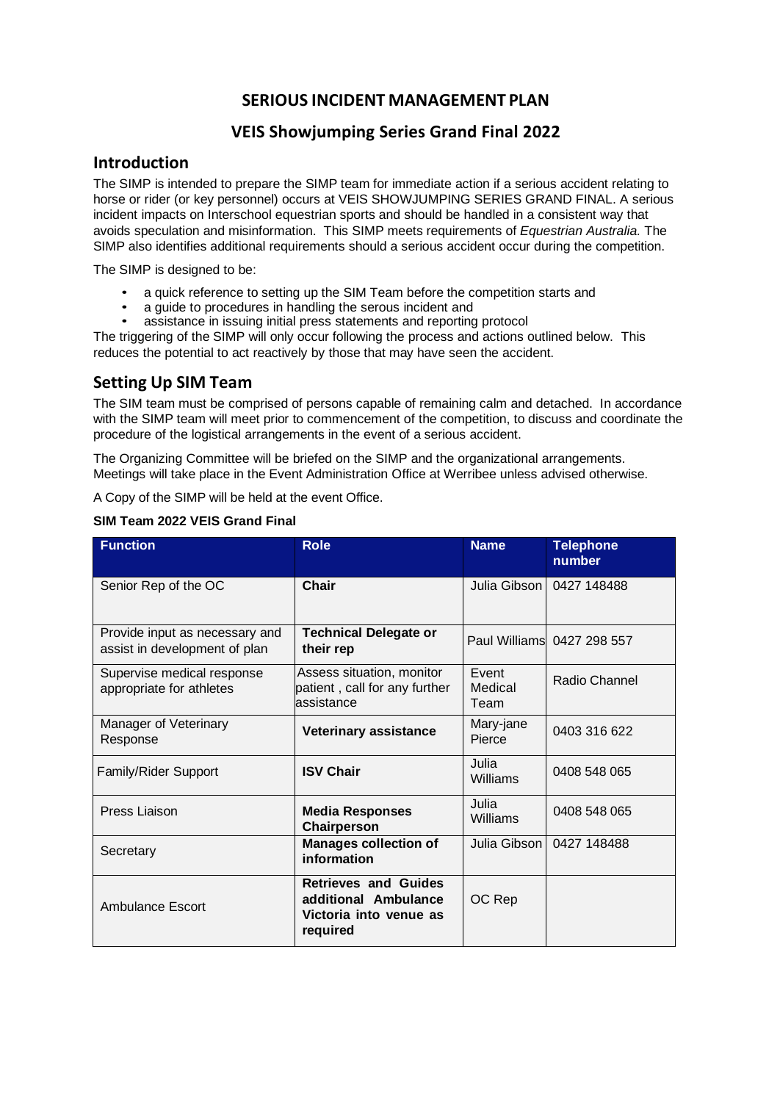# **SERIOUS INCIDENT MANAGEMENT PLAN**

## **VEIS Showjumping Series Grand Final 2022**

#### **Introduction**

The SIMP is intended to prepare the SIMP team for immediate action if a serious accident relating to horse or rider (or key personnel) occurs at VEIS SHOWJUMPING SERIES GRAND FINAL. A serious incident impacts on Interschool equestrian sports and should be handled in a consistent way that avoids speculation and misinformation. This SIMP meets requirements of *Equestrian Australia.* The SIMP also identifies additional requirements should a serious accident occur during the competition.

The SIMP is designed to be:

- a quick reference to setting up the SIM Team before the competition starts and
- a guide to procedures in handling the serous incident and
- assistance in issuing initial press statements and reporting protocol

The triggering of the SIMP will only occur following the process and actions outlined below. This reduces the potential to act reactively by those that may have seen the accident.

#### **Setting Up SIM Team**

The SIM team must be comprised of persons capable of remaining calm and detached. In accordance with the SIMP team will meet prior to commencement of the competition, to discuss and coordinate the procedure of the logistical arrangements in the event of a serious accident.

The Organizing Committee will be briefed on the SIMP and the organizational arrangements. Meetings will take place in the Event Administration Office at Werribee unless advised otherwise.

A Copy of the SIMP will be held at the event Office.

| <b>Function</b>                                                 | <b>Role</b>                                                                               | <b>Name</b>              | <b>Telephone</b><br>number |
|-----------------------------------------------------------------|-------------------------------------------------------------------------------------------|--------------------------|----------------------------|
| Senior Rep of the OC                                            | <b>Chair</b>                                                                              |                          | Julia Gibson   0427 148488 |
| Provide input as necessary and<br>assist in development of plan | <b>Technical Delegate or</b><br>their rep                                                 |                          | Paul Williams 0427 298 557 |
| Supervise medical response<br>appropriate for athletes          | Assess situation, monitor<br>patient, call for any further<br>assistance                  | Event<br>Medical<br>Team | Radio Channel              |
| Manager of Veterinary<br>Response                               | <b>Veterinary assistance</b>                                                              | Mary-jane<br>Pierce      | 0403 316 622               |
| Family/Rider Support                                            | <b>ISV Chair</b>                                                                          | Julia<br>Williams        | 0408 548 065               |
| Press Liaison                                                   | <b>Media Responses</b><br>Chairperson                                                     | Julia<br>Williams        | 0408 548 065               |
| Secretary                                                       | <b>Manages collection of</b><br>information                                               | Julia Gibson             | 0427 148488                |
| Ambulance Escort                                                | <b>Retrieves and Guides</b><br>additional Ambulance<br>Victoria into venue as<br>required | OC Rep                   |                            |

#### **SIM Team 2022 VEIS Grand Final**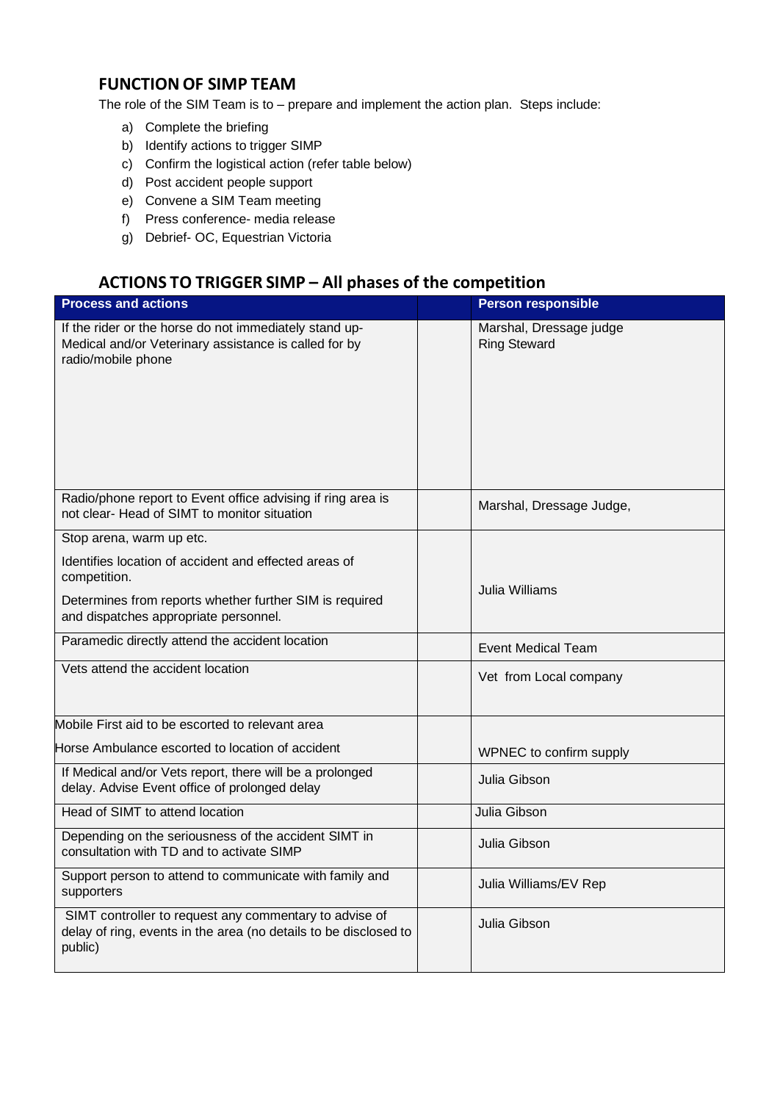# **FUNCTION OF SIMP TEAM**

The role of the SIM Team is to – prepare and implement the action plan. Steps include:

- a) Complete the briefing
- b) Identify actions to trigger SIMP
- c) Confirm the logistical action (refer table below)
- d) Post accident people support
- e) Convene a SIM Team meeting
- f) Press conference- media release
- g) Debrief- OC, Equestrian Victoria

# **ACTIONS TO TRIGGER SIMP – All phases of the competition**

| <b>Process and actions</b>                                                                                                                                                |  | <b>Person responsible</b>                      |  |
|---------------------------------------------------------------------------------------------------------------------------------------------------------------------------|--|------------------------------------------------|--|
| If the rider or the horse do not immediately stand up-<br>Medical and/or Veterinary assistance is called for by<br>radio/mobile phone                                     |  | Marshal, Dressage judge<br><b>Ring Steward</b> |  |
| Radio/phone report to Event office advising if ring area is<br>not clear- Head of SIMT to monitor situation                                                               |  | Marshal, Dressage Judge,                       |  |
| Stop arena, warm up etc.                                                                                                                                                  |  |                                                |  |
| Identifies location of accident and effected areas of<br>competition.<br>Determines from reports whether further SIM is required<br>and dispatches appropriate personnel. |  | Julia Williams                                 |  |
|                                                                                                                                                                           |  |                                                |  |
| Vets attend the accident location                                                                                                                                         |  | Vet from Local company                         |  |
| Mobile First aid to be escorted to relevant area                                                                                                                          |  |                                                |  |
| Horse Ambulance escorted to location of accident                                                                                                                          |  | WPNEC to confirm supply                        |  |
| If Medical and/or Vets report, there will be a prolonged<br>delay. Advise Event office of prolonged delay                                                                 |  | Julia Gibson                                   |  |
| Head of SIMT to attend location                                                                                                                                           |  | Julia Gibson                                   |  |
| Depending on the seriousness of the accident SIMT in<br>consultation with TD and to activate SIMP                                                                         |  | Julia Gibson                                   |  |
| Support person to attend to communicate with family and<br>supporters                                                                                                     |  | Julia Williams/EV Rep                          |  |
| SIMT controller to request any commentary to advise of<br>delay of ring, events in the area (no details to be disclosed to<br>public)                                     |  | Julia Gibson                                   |  |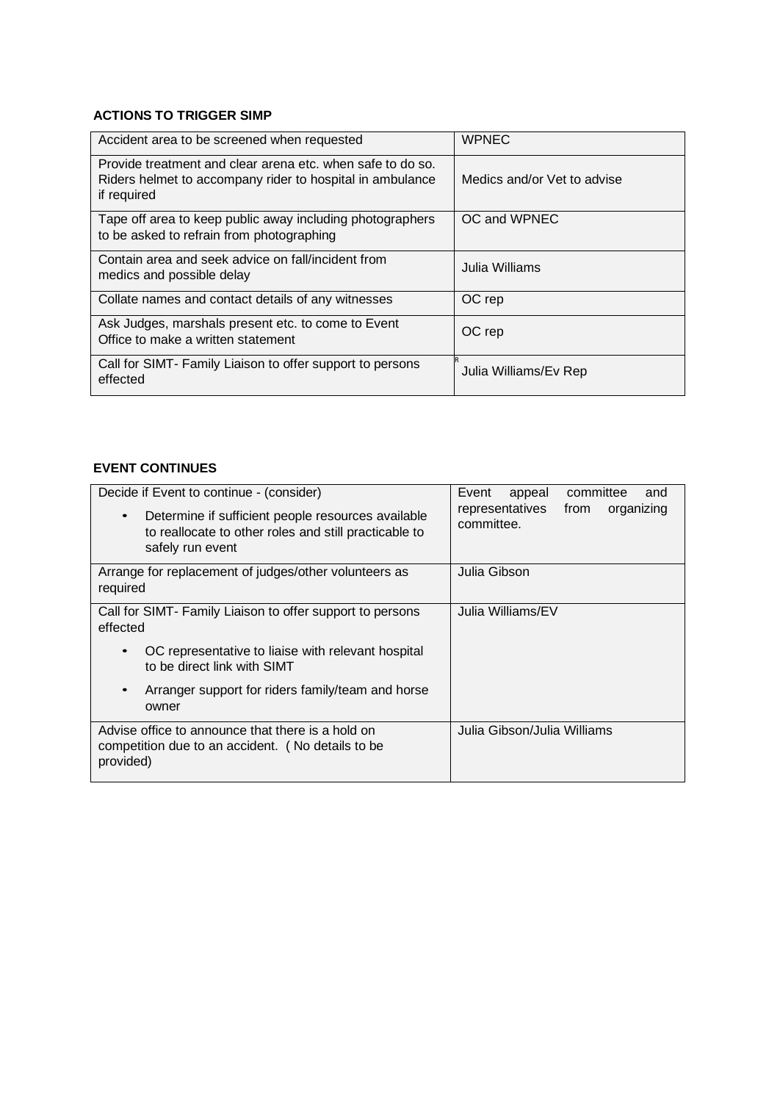#### **ACTIONS TO TRIGGER SIMP**

| Accident area to be screened when requested                                                                                            | <b>WPNEC</b>                |  |
|----------------------------------------------------------------------------------------------------------------------------------------|-----------------------------|--|
| Provide treatment and clear arena etc. when safe to do so.<br>Riders helmet to accompany rider to hospital in ambulance<br>if required | Medics and/or Vet to advise |  |
| Tape off area to keep public away including photographers<br>to be asked to refrain from photographing                                 | OC and WPNEC                |  |
| Contain area and seek advice on fall/incident from<br>medics and possible delay                                                        | Julia Williams              |  |
| Collate names and contact details of any witnesses                                                                                     | OC rep                      |  |
| Ask Judges, marshals present etc. to come to Event<br>Office to make a written statement                                               | OC rep                      |  |
| Call for SIMT- Family Liaison to offer support to persons<br>effected                                                                  | Julia Williams/Ev Rep       |  |

#### **EVENT CONTINUES**

| Decide if Event to continue - (consider)<br>Determine if sufficient people resources available<br>to reallocate to other roles and still practicable to<br>safely run event | committee<br>Event<br>appeal<br>and<br>representatives<br>from<br>organizing<br>committee. |
|-----------------------------------------------------------------------------------------------------------------------------------------------------------------------------|--------------------------------------------------------------------------------------------|
| Arrange for replacement of judges/other volunteers as<br>required                                                                                                           | Julia Gibson                                                                               |
| Call for SIMT- Family Liaison to offer support to persons<br>effected                                                                                                       | Julia Williams/EV                                                                          |
| OC representative to liaise with relevant hospital<br>to be direct link with SIMT                                                                                           |                                                                                            |
| Arranger support for riders family/team and horse<br>owner                                                                                                                  |                                                                                            |
| Advise office to announce that there is a hold on<br>competition due to an accident. (No details to be<br>provided)                                                         | Julia Gibson/Julia Williams                                                                |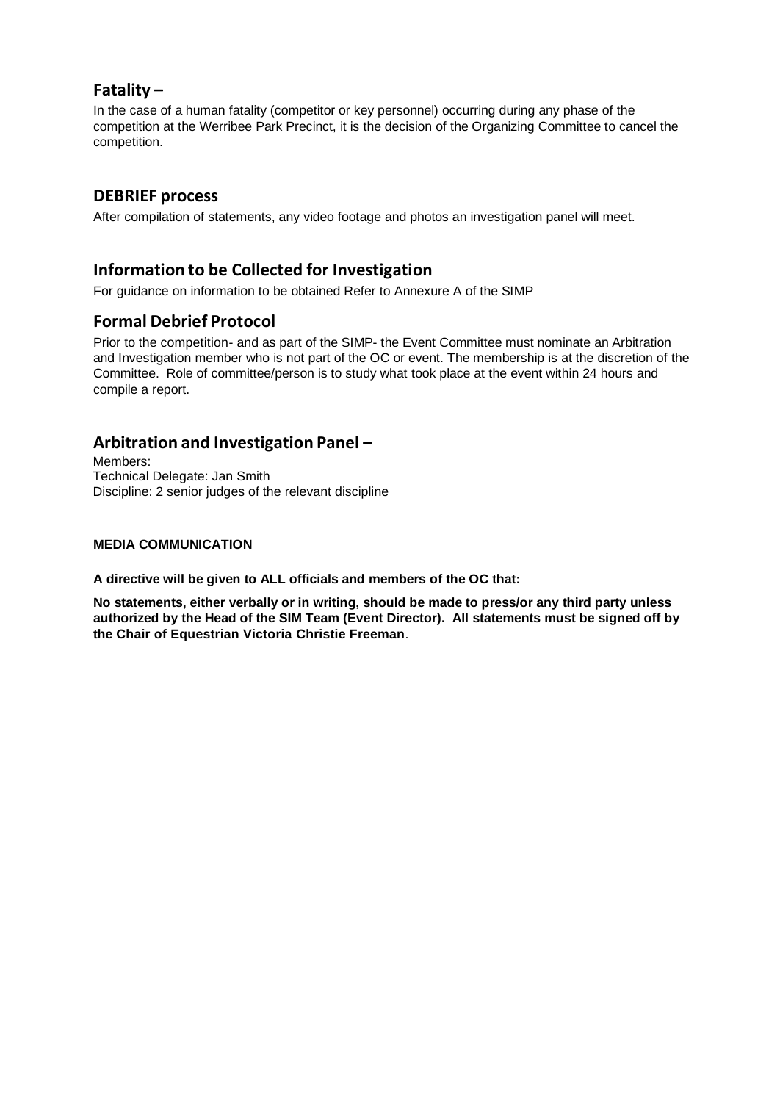#### **Fatality –**

In the case of a human fatality (competitor or key personnel) occurring during any phase of the competition at the Werribee Park Precinct, it is the decision of the Organizing Committee to cancel the competition.

#### **DEBRIEF process**

After compilation of statements, any video footage and photos an investigation panel will meet.

## **Information to be Collected for Investigation**

For guidance on information to be obtained Refer to Annexure A of the SIMP

#### **Formal Debrief Protocol**

Prior to the competition- and as part of the SIMP- the Event Committee must nominate an Arbitration and Investigation member who is not part of the OC or event. The membership is at the discretion of the Committee. Role of committee/person is to study what took place at the event within 24 hours and compile a report.

## **Arbitration and Investigation Panel –**

Members: Technical Delegate: Jan Smith Discipline: 2 senior judges of the relevant discipline

#### **MEDIA COMMUNICATION**

**A directive will be given to ALL officials and members of the OC that:**

**No statements, either verbally or in writing, should be made to press/or any third party unless authorized by the Head of the SIM Team (Event Director). All statements must be signed off by the Chair of Equestrian Victoria Christie Freeman**.